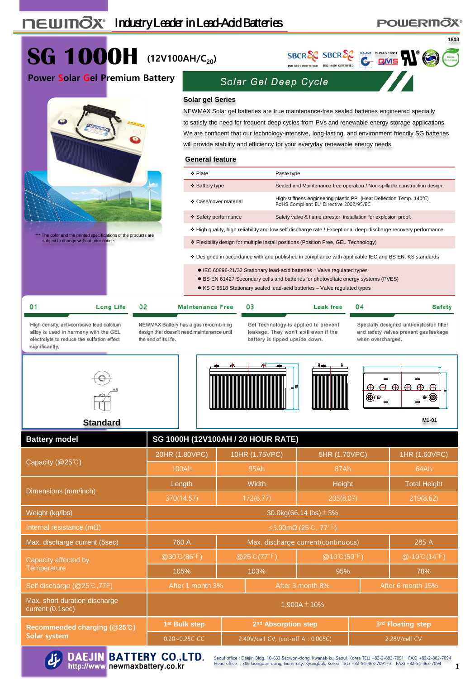#### **1803 SG 1000H (12V100AH/C20)** SBCR SCR SBCR SC<sub>ROMAC</sub> OHSAS 18001<br>150 9001 CERTIFIED 180 14001 CERTIFIED C DVIS **RIVIES Power Solar Gel Premium Battery** Solar Gel Deep Cycle **Solar gel Series** NEWMAX Solar gel batteries are true maintenance-free sealed batteries engineered specially to satisfy the need for frequent deep cycles from PVs and renewable energy storage applications. We are confident that our technology-intensive, long-lasting, and environment friendly SG batteries will provide stability and efficiency for your everyday renewable energy needs. **General feature** ◆ Plate **Paste type**  Battery type Sealed and Maintenance free operation / Non-spillable construction design Case/cover material High-stiffness engineering plastic PP (Heat Deflection Temp. <sup>140</sup>℃) RoHS Compliant EU Directive 2002/95/EC Safety performance Safety valve & flame arrestor installation for explosion proof. High quality, high reliability and low self discharge rate / Exceptional deep discharge recovery performance \*\*\* The color and the printed specifications of the products are subject to change without prior notice. Flexibility design for multiple install positions (Position Free, GEL Technology) Designed in accordance with and published in compliance with applicable IEC and BS EN, KS standards ● IEC 60896-21/22 Stationary lead-acid batteries - Valve regulated types BS EN 61427 Secondary cells and batteries for photovoltaic energy systems (PVES) KS C 8518 Stationary sealed lead-acid batteries – Valve regulated types  $0<sub>2</sub>$  $0<sup>3</sup>$  $04$ **Long Life Maintenance Free Leak free Safety**

High density, anti-corrosive lead calcium alloy is used in harmony with the GEL electrolyte to reduce the sulfation effect significantly.

 $01$ 

NEWMAX Battery has a gas re-combining design that doesn't need maintenance until the end of its life.

Gel Technology is applied to prevent leakage. They won't spill even if the battery is tipped upside down.

Specially designed anti-explosion filter and safety valves prevent gas leakage when overcharged.

**POWERINOX®** 







**M1-01**

#### **Standard**

| <b>Battery model</b>                              | SG 1000H (12V100AH / 20 HOUR RATE)                           |                             |                                    |                             |                     |                   |  |  |  |
|---------------------------------------------------|--------------------------------------------------------------|-----------------------------|------------------------------------|-----------------------------|---------------------|-------------------|--|--|--|
|                                                   | 20HR (1.80VPC)                                               | 10HR (1.75VPC)              |                                    | 5HR (1.70VPC)               | 1HR (1.60VPC)       |                   |  |  |  |
| Capacity (@25°C)                                  | 100Ah                                                        | 95Ah                        |                                    | 87Ah                        | 64Ah                |                   |  |  |  |
|                                                   | Length                                                       | Width                       |                                    | Height                      | <b>Total Height</b> |                   |  |  |  |
| Dimensions (mm/inch)                              | 370(14.57)                                                   | 172(6.77)                   |                                    | 205(8.07)                   |                     | 219(8.62)         |  |  |  |
| Weight (kg/lbs)                                   | 30.0kg(66.14 lbs) $\pm$ 3%                                   |                             |                                    |                             |                     |                   |  |  |  |
| Internal resistance ( $m\Omega$ )                 | $\leq$ 5.00m $\Omega$ (25°C, 77°F)                           |                             |                                    |                             |                     |                   |  |  |  |
| Max. discharge current (5sec)                     | Max. discharge current(continuous)<br>285 A<br>760 A         |                             |                                    |                             |                     |                   |  |  |  |
| Capacity affected by                              | @30°C(86°F)                                                  | $@25^{\circ}C(77^{\circ}F)$ |                                    | $@10^{\circ}C(50^{\circ}F)$ |                     | $@ - 10°C(14°F)$  |  |  |  |
| Temperature                                       | 105%                                                         |                             | 103%                               | 95%                         |                     | 78%               |  |  |  |
| Self discharge (@25℃,77F)                         | After 1 month 3%                                             |                             | After 3 month 8%                   | After 6 month 15%           |                     |                   |  |  |  |
| Max. short duration discharge<br>current (0.1sec) | 1,900A $\pm$ 10%                                             |                             |                                    |                             |                     |                   |  |  |  |
| Recommended charging (@25°C)                      | 1 <sup>st</sup> Bulk step<br>2 <sup>nd</sup> Absorption step |                             |                                    |                             |                     | 3rd Floating step |  |  |  |
| Solar system                                      | $0.20 - 0.25C$ CC                                            |                             | 2.40V/cell CV, (cut-off A: 0.005C) |                             |                     | 2.28V/cell CV     |  |  |  |



Seoul office : Daejin Bldg. 10-633 Seowon-dong, Kwanak-ku, Seoul, Korea TEL) +82-2-883-7091 FAX) +82-2-882-7094<br>Head office : 306 Gongdan-dong, Gumi-city, Kyungbuk, Korea TEL) +82-54-463-7091~3 FAX) +82-54-463-7094 1